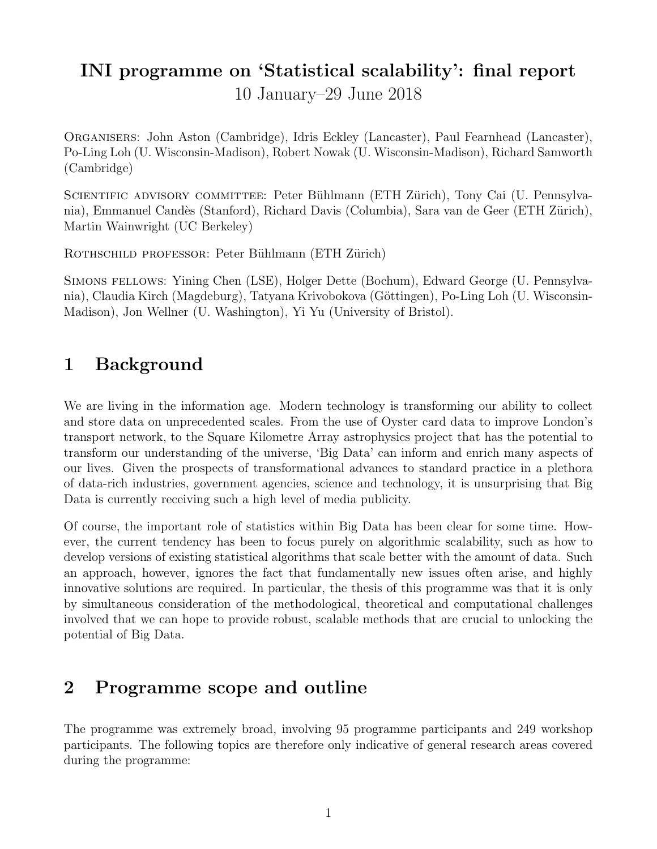# INI programme on 'Statistical scalability': final report

10 January–29 June 2018

Organisers: John Aston (Cambridge), Idris Eckley (Lancaster), Paul Fearnhead (Lancaster), Po-Ling Loh (U. Wisconsin-Madison), Robert Nowak (U. Wisconsin-Madison), Richard Samworth (Cambridge)

SCIENTIFIC ADVISORY COMMITTEE: Peter Bühlmann (ETH Zürich), Tony Cai (U. Pennsylvania), Emmanuel Candès (Stanford), Richard Davis (Columbia), Sara van de Geer (ETH Zürich), Martin Wainwright (UC Berkeley)

ROTHSCHILD PROFESSOR: Peter Bühlmann (ETH Zürich)

Simons fellows: Yining Chen (LSE), Holger Dette (Bochum), Edward George (U. Pennsylvania), Claudia Kirch (Magdeburg), Tatyana Krivobokova (Göttingen), Po-Ling Loh (U. Wisconsin-Madison), Jon Wellner (U. Washington), Yi Yu (University of Bristol).

### 1 Background

We are living in the information age. Modern technology is transforming our ability to collect and store data on unprecedented scales. From the use of Oyster card data to improve London's transport network, to the Square Kilometre Array astrophysics project that has the potential to transform our understanding of the universe, 'Big Data' can inform and enrich many aspects of our lives. Given the prospects of transformational advances to standard practice in a plethora of data-rich industries, government agencies, science and technology, it is unsurprising that Big Data is currently receiving such a high level of media publicity.

Of course, the important role of statistics within Big Data has been clear for some time. However, the current tendency has been to focus purely on algorithmic scalability, such as how to develop versions of existing statistical algorithms that scale better with the amount of data. Such an approach, however, ignores the fact that fundamentally new issues often arise, and highly innovative solutions are required. In particular, the thesis of this programme was that it is only by simultaneous consideration of the methodological, theoretical and computational challenges involved that we can hope to provide robust, scalable methods that are crucial to unlocking the potential of Big Data.

## 2 Programme scope and outline

The programme was extremely broad, involving 95 programme participants and 249 workshop participants. The following topics are therefore only indicative of general research areas covered during the programme: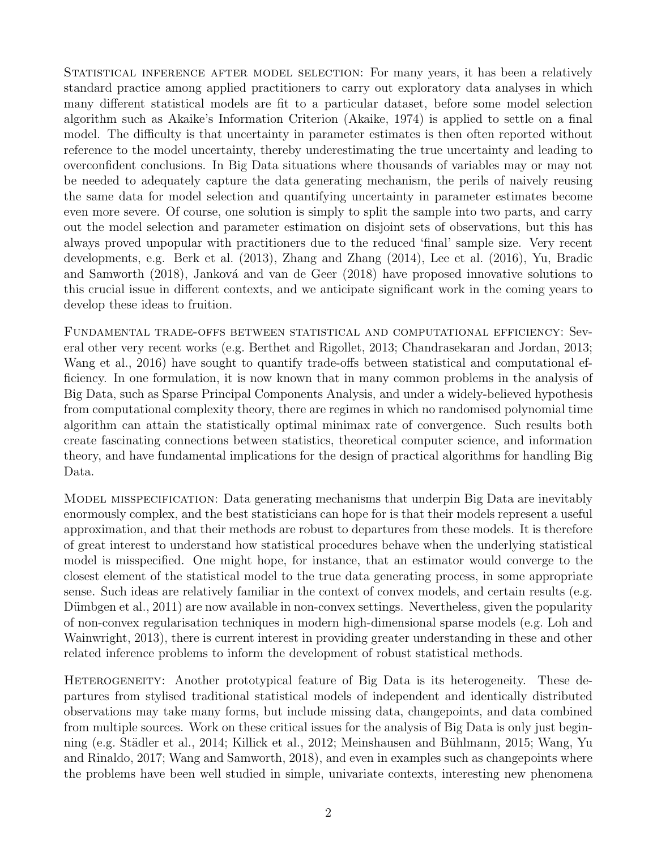STATISTICAL INFERENCE AFTER MODEL SELECTION: For many years, it has been a relatively standard practice among applied practitioners to carry out exploratory data analyses in which many different statistical models are fit to a particular dataset, before some model selection algorithm such as Akaike's Information Criterion (Akaike, 1974) is applied to settle on a final model. The difficulty is that uncertainty in parameter estimates is then often reported without reference to the model uncertainty, thereby underestimating the true uncertainty and leading to overconfident conclusions. In Big Data situations where thousands of variables may or may not be needed to adequately capture the data generating mechanism, the perils of naively reusing the same data for model selection and quantifying uncertainty in parameter estimates become even more severe. Of course, one solution is simply to split the sample into two parts, and carry out the model selection and parameter estimation on disjoint sets of observations, but this has always proved unpopular with practitioners due to the reduced 'final' sample size. Very recent developments, e.g. Berk et al. (2013), Zhang and Zhang (2014), Lee et al. (2016), Yu, Bradic and Samworth (2018), Janková and van de Geer (2018) have proposed innovative solutions to this crucial issue in different contexts, and we anticipate significant work in the coming years to develop these ideas to fruition.

Fundamental trade-offs between statistical and computational efficiency: Several other very recent works (e.g. Berthet and Rigollet, 2013; Chandrasekaran and Jordan, 2013; Wang et al., 2016) have sought to quantify trade-offs between statistical and computational efficiency. In one formulation, it is now known that in many common problems in the analysis of Big Data, such as Sparse Principal Components Analysis, and under a widely-believed hypothesis from computational complexity theory, there are regimes in which no randomised polynomial time algorithm can attain the statistically optimal minimax rate of convergence. Such results both create fascinating connections between statistics, theoretical computer science, and information theory, and have fundamental implications for the design of practical algorithms for handling Big Data.

MODEL MISSPECIFICATION: Data generating mechanisms that underpin Big Data are inevitably enormously complex, and the best statisticians can hope for is that their models represent a useful approximation, and that their methods are robust to departures from these models. It is therefore of great interest to understand how statistical procedures behave when the underlying statistical model is misspecified. One might hope, for instance, that an estimator would converge to the closest element of the statistical model to the true data generating process, in some appropriate sense. Such ideas are relatively familiar in the context of convex models, and certain results (e.g. Dümbgen et al., 2011) are now available in non-convex settings. Nevertheless, given the popularity of non-convex regularisation techniques in modern high-dimensional sparse models (e.g. Loh and Wainwright, 2013), there is current interest in providing greater understanding in these and other related inference problems to inform the development of robust statistical methods.

HETEROGENEITY: Another prototypical feature of Big Data is its heterogeneity. These departures from stylised traditional statistical models of independent and identically distributed observations may take many forms, but include missing data, changepoints, and data combined from multiple sources. Work on these critical issues for the analysis of Big Data is only just beginning (e.g. Städler et al., 2014; Killick et al., 2012; Meinshausen and Bühlmann, 2015; Wang, Yu and Rinaldo, 2017; Wang and Samworth, 2018), and even in examples such as changepoints where the problems have been well studied in simple, univariate contexts, interesting new phenomena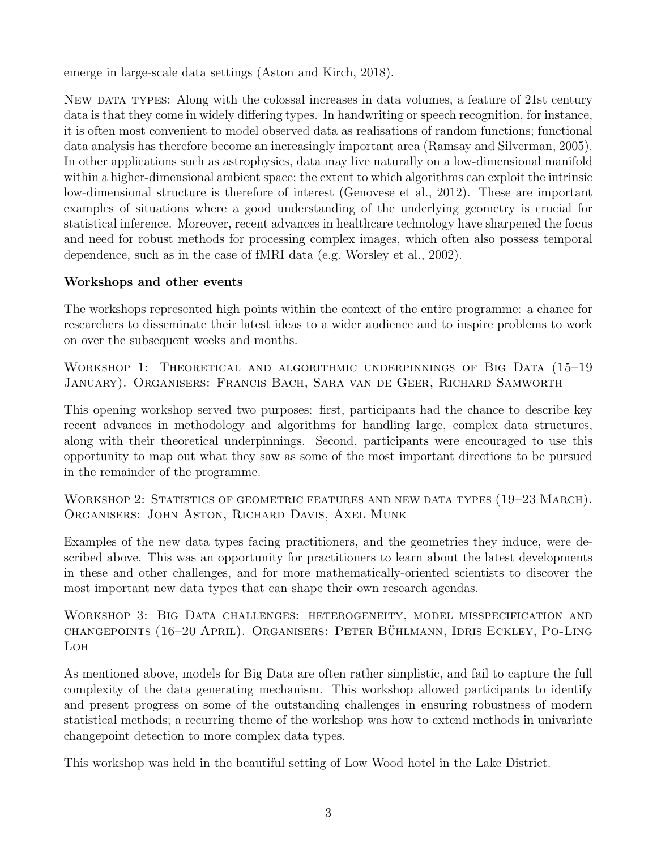emerge in large-scale data settings (Aston and Kirch, 2018).

New data types: Along with the colossal increases in data volumes, a feature of 21st century data is that they come in widely differing types. In handwriting or speech recognition, for instance, it is often most convenient to model observed data as realisations of random functions; functional data analysis has therefore become an increasingly important area (Ramsay and Silverman, 2005). In other applications such as astrophysics, data may live naturally on a low-dimensional manifold within a higher-dimensional ambient space; the extent to which algorithms can exploit the intrinsic low-dimensional structure is therefore of interest (Genovese et al., 2012). These are important examples of situations where a good understanding of the underlying geometry is crucial for statistical inference. Moreover, recent advances in healthcare technology have sharpened the focus and need for robust methods for processing complex images, which often also possess temporal dependence, such as in the case of fMRI data (e.g. Worsley et al., 2002).

#### Workshops and other events

The workshops represented high points within the context of the entire programme: a chance for researchers to disseminate their latest ideas to a wider audience and to inspire problems to work on over the subsequent weeks and months.

WORKSHOP 1: THEORETICAL AND ALGORITHMIC UNDERPINNINGS OF BIG DATA (15-19 January). Organisers: Francis Bach, Sara van de Geer, Richard Samworth

This opening workshop served two purposes: first, participants had the chance to describe key recent advances in methodology and algorithms for handling large, complex data structures, along with their theoretical underpinnings. Second, participants were encouraged to use this opportunity to map out what they saw as some of the most important directions to be pursued in the remainder of the programme.

WORKSHOP 2: STATISTICS OF GEOMETRIC FEATURES AND NEW DATA TYPES  $(19-23 \text{ MARCH})$ . Organisers: John Aston, Richard Davis, Axel Munk

Examples of the new data types facing practitioners, and the geometries they induce, were described above. This was an opportunity for practitioners to learn about the latest developments in these and other challenges, and for more mathematically-oriented scientists to discover the most important new data types that can shape their own research agendas.

Workshop 3: Big Data challenges: heterogeneity, model misspecification and changepoints (16–20 April). Organisers: Peter Buhlmann, Idris Eckley, Po-Ling ¨ Loh

As mentioned above, models for Big Data are often rather simplistic, and fail to capture the full complexity of the data generating mechanism. This workshop allowed participants to identify and present progress on some of the outstanding challenges in ensuring robustness of modern statistical methods; a recurring theme of the workshop was how to extend methods in univariate changepoint detection to more complex data types.

This workshop was held in the beautiful setting of Low Wood hotel in the Lake District.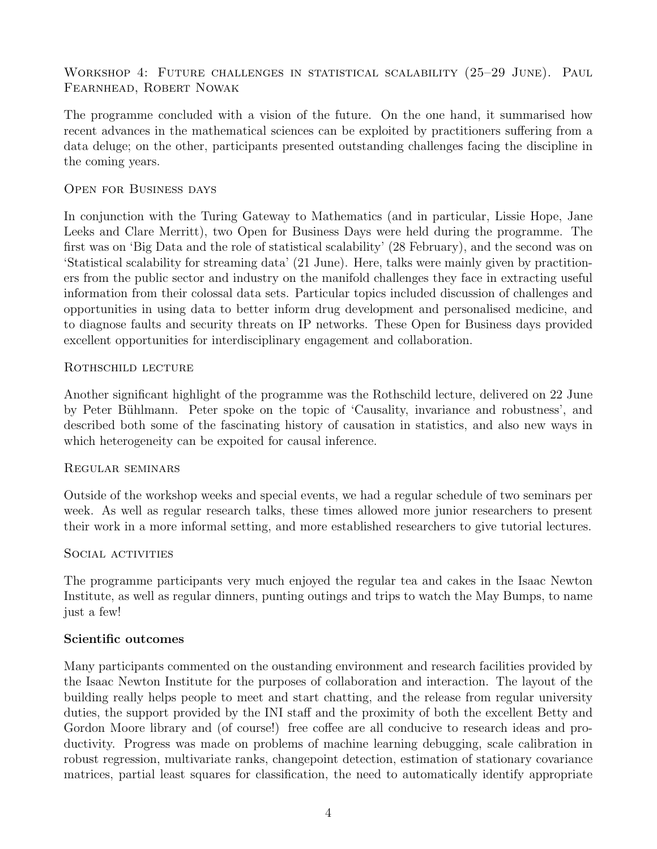### WORKSHOP 4: FUTURE CHALLENGES IN STATISTICAL SCALABILITY (25-29 JUNE). PAUL Fearnhead, Robert Nowak

The programme concluded with a vision of the future. On the one hand, it summarised how recent advances in the mathematical sciences can be exploited by practitioners suffering from a data deluge; on the other, participants presented outstanding challenges facing the discipline in the coming years.

#### Open for Business days

In conjunction with the Turing Gateway to Mathematics (and in particular, Lissie Hope, Jane Leeks and Clare Merritt), two Open for Business Days were held during the programme. The first was on 'Big Data and the role of statistical scalability' (28 February), and the second was on 'Statistical scalability for streaming data' (21 June). Here, talks were mainly given by practitioners from the public sector and industry on the manifold challenges they face in extracting useful information from their colossal data sets. Particular topics included discussion of challenges and opportunities in using data to better inform drug development and personalised medicine, and to diagnose faults and security threats on IP networks. These Open for Business days provided excellent opportunities for interdisciplinary engagement and collaboration.

#### ROTHSCHILD LECTURE

Another significant highlight of the programme was the Rothschild lecture, delivered on 22 June by Peter Bühlmann. Peter spoke on the topic of 'Causality, invariance and robustness', and described both some of the fascinating history of causation in statistics, and also new ways in which heterogeneity can be expoited for causal inference.

#### Regular seminars

Outside of the workshop weeks and special events, we had a regular schedule of two seminars per week. As well as regular research talks, these times allowed more junior researchers to present their work in a more informal setting, and more established researchers to give tutorial lectures.

#### SOCIAL ACTIVITIES

The programme participants very much enjoyed the regular tea and cakes in the Isaac Newton Institute, as well as regular dinners, punting outings and trips to watch the May Bumps, to name just a few!

#### Scientific outcomes

Many participants commented on the oustanding environment and research facilities provided by the Isaac Newton Institute for the purposes of collaboration and interaction. The layout of the building really helps people to meet and start chatting, and the release from regular university duties, the support provided by the INI staff and the proximity of both the excellent Betty and Gordon Moore library and (of course!) free coffee are all conducive to research ideas and productivity. Progress was made on problems of machine learning debugging, scale calibration in robust regression, multivariate ranks, changepoint detection, estimation of stationary covariance matrices, partial least squares for classification, the need to automatically identify appropriate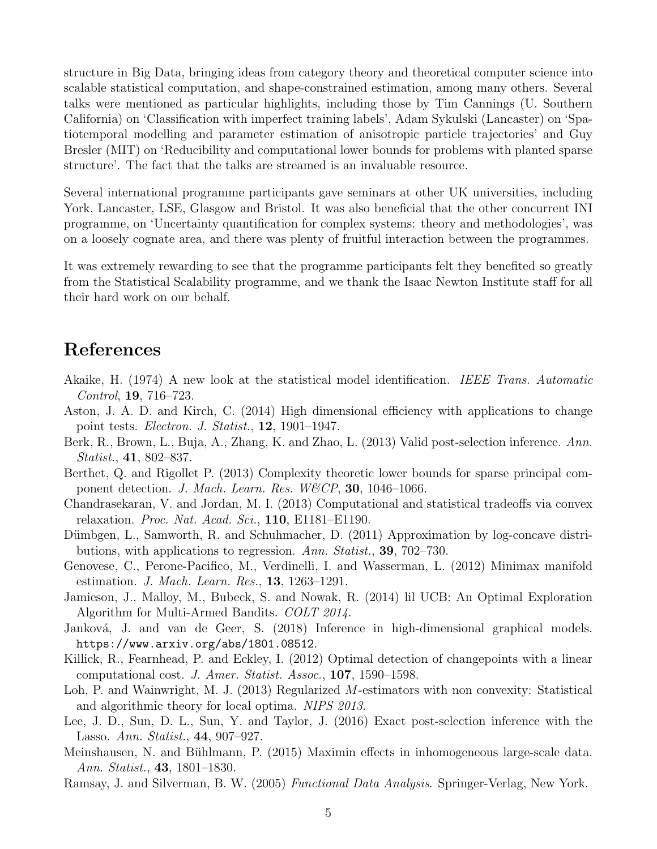structure in Big Data, bringing ideas from category theory and theoretical computer science into scalable statistical computation, and shape-constrained estimation, among many others. Several talks were mentioned as particular highlights, including those by Tim Cannings (U. Southern California) on 'Classification with imperfect training labels', Adam Sykulski (Lancaster) on 'Spatiotemporal modelling and parameter estimation of anisotropic particle trajectories' and Guy Bresler (MIT) on 'Reducibility and computational lower bounds for problems with planted sparse structure'. The fact that the talks are streamed is an invaluable resource.

Several international programme participants gave seminars at other UK universities, including York, Lancaster, LSE, Glasgow and Bristol. It was also beneficial that the other concurrent INI programme, on 'Uncertainty quantification for complex systems: theory and methodologies', was on a loosely cognate area, and there was plenty of fruitful interaction between the programmes.

It was extremely rewarding to see that the programme participants felt they benefited so greatly from the Statistical Scalability programme, and we thank the Isaac Newton Institute staff for all their hard work on our behalf.

# References

- Akaike, H. (1974) A new look at the statistical model identification. IEEE Trans. Automatic Control, 19, 716–723.
- Aston, J. A. D. and Kirch, C. (2014) High dimensional efficiency with applications to change point tests. Electron. J. Statist., 12, 1901–1947.
- Berk, R., Brown, L., Buja, A., Zhang, K. and Zhao, L. (2013) Valid post-selection inference. Ann. Statist., 41, 802–837.
- Berthet, Q. and Rigollet P. (2013) Complexity theoretic lower bounds for sparse principal component detection. J. Mach. Learn. Res. W&CP, 30, 1046-1066.
- Chandrasekaran, V. and Jordan, M. I. (2013) Computational and statistical tradeoffs via convex relaxation. Proc. Nat. Acad. Sci.,  $110$ , E1181–E1190.
- Dümbgen, L., Samworth, R. and Schuhmacher, D. (2011) Approximation by log-concave distributions, with applications to regression. Ann. Statist., **39**, 702–730.
- Genovese, C., Perone-Pacifico, M., Verdinelli, I. and Wasserman, L. (2012) Minimax manifold estimation. *J. Mach. Learn. Res.*, **13**, 1263–1291.
- Jamieson, J., Malloy, M., Bubeck, S. and Nowak, R. (2014) lil UCB: An Optimal Exploration Algorithm for Multi-Armed Bandits. COLT 2014.
- Janková, J. and van de Geer, S. (2018) Inference in high-dimensional graphical models. https://www.arxiv.org/abs/1801.08512.
- Killick, R., Fearnhead, P. and Eckley, I. (2012) Optimal detection of changepoints with a linear computational cost. J. Amer. Statist. Assoc., 107, 1590–1598.
- Loh, P. and Wainwright, M. J. (2013) Regularized M-estimators with non convexity: Statistical and algorithmic theory for local optima. NIPS 2013.
- Lee, J. D., Sun, D. L., Sun, Y. and Taylor, J. (2016) Exact post-selection inference with the Lasso. Ann. Statist., 44, 907–927.
- Meinshausen, N. and Bühlmann, P. (2015) Maximin effects in inhomogeneous large-scale data. Ann. Statist., 43, 1801–1830.
- Ramsay, J. and Silverman, B. W. (2005) Functional Data Analysis. Springer-Verlag, New York.